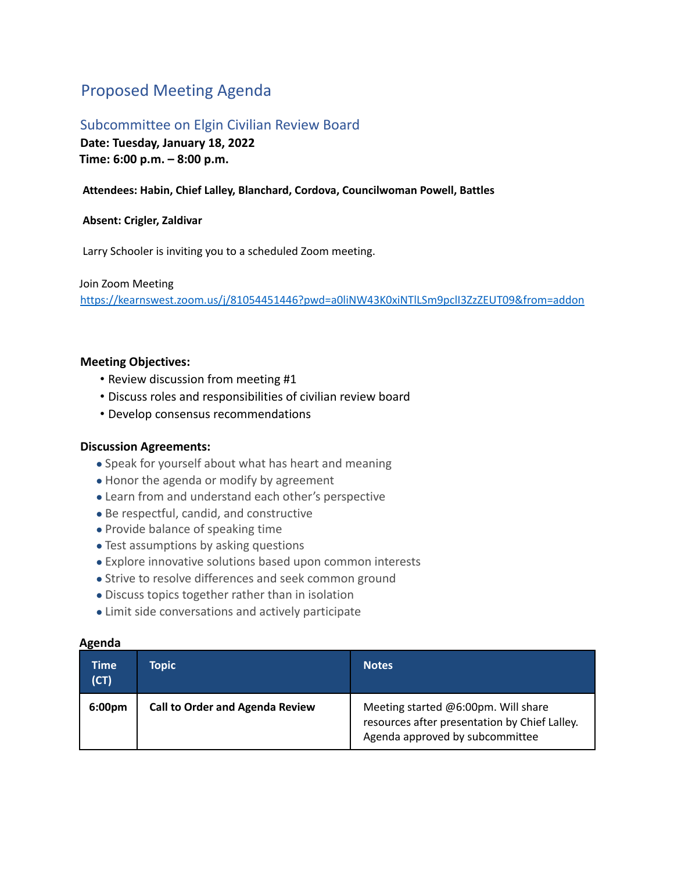## Proposed Meeting Agenda

# Subcommittee on Elgin Civilian Review Board

**Date: Tuesday, January 18, 2022 Time: 6:00 p.m. – 8:00 p.m.**

### **Attendees: Habin, Chief Lalley, Blanchard, Cordova, Councilwoman Powell, Battles**

#### **Absent: Crigler, Zaldivar**

Larry Schooler is inviting you to a scheduled Zoom meeting.

Join Zoom Meeting https://kearnswest.zoom.us/j/81054451446?pwd=a0liNW43K0xiNTlLSm9pclI3ZzZEUT09&from=addon

#### **Meeting Objectives:**

- Review discussion from meeting #1
- Discuss roles and responsibilities of civilian review board
- Develop consensus recommendations

#### **Discussion Agreements:**

- Speak for yourself about what has heart and meaning
- Honor the agenda or modify by agreement
- Learn from and understand each other's perspective
- Be respectful, candid, and constructive
- Provide balance of speaking time
- Test assumptions by asking questions
- Explore innovative solutions based upon common interests
- Strive to resolve differences and seek common ground
- Discuss topics together rather than in isolation
- Limit side conversations and actively participate

#### **Agenda**

| Time<br>(CT)       | Topic                                  | <b>Notes</b>                                                                                                            |
|--------------------|----------------------------------------|-------------------------------------------------------------------------------------------------------------------------|
| 6:00 <sub>pm</sub> | <b>Call to Order and Agenda Review</b> | Meeting started @6:00pm. Will share<br>resources after presentation by Chief Lalley.<br>Agenda approved by subcommittee |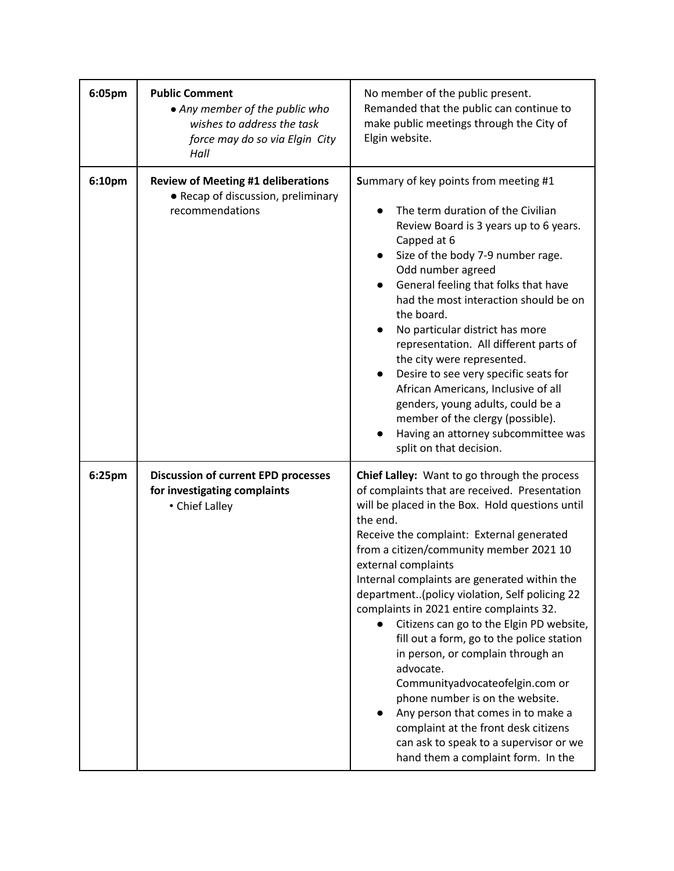| 6:05pm | <b>Public Comment</b><br>• Any member of the public who<br>wishes to address the task<br>force may do so via Elgin City<br>Hall | No member of the public present.<br>Remanded that the public can continue to<br>make public meetings through the City of<br>Elgin website.                                                                                                                                                                                                                                                                                                                                                                                                                                                                                                                                                                                                                                                              |
|--------|---------------------------------------------------------------------------------------------------------------------------------|---------------------------------------------------------------------------------------------------------------------------------------------------------------------------------------------------------------------------------------------------------------------------------------------------------------------------------------------------------------------------------------------------------------------------------------------------------------------------------------------------------------------------------------------------------------------------------------------------------------------------------------------------------------------------------------------------------------------------------------------------------------------------------------------------------|
| 6:10pm | <b>Review of Meeting #1 deliberations</b><br>• Recap of discussion, preliminary<br>recommendations                              | Summary of key points from meeting #1<br>The term duration of the Civilian<br>Review Board is 3 years up to 6 years.<br>Capped at 6<br>Size of the body 7-9 number rage.<br>$\bullet$<br>Odd number agreed<br>General feeling that folks that have<br>$\bullet$<br>had the most interaction should be on<br>the board.<br>No particular district has more<br>representation. All different parts of<br>the city were represented.<br>Desire to see very specific seats for<br>African Americans, Inclusive of all<br>genders, young adults, could be a<br>member of the clergy (possible).<br>Having an attorney subcommittee was<br>split on that decision.                                                                                                                                            |
| 6:25pm | <b>Discussion of current EPD processes</b><br>for investigating complaints<br>• Chief Lalley                                    | Chief Lalley: Want to go through the process<br>of complaints that are received. Presentation<br>will be placed in the Box. Hold questions until<br>the end.<br>Receive the complaint: External generated<br>from a citizen/community member 2021 10<br>external complaints<br>Internal complaints are generated within the<br>department(policy violation, Self policing 22<br>complaints in 2021 entire complaints 32.<br>Citizens can go to the Elgin PD website,<br>fill out a form, go to the police station<br>in person, or complain through an<br>advocate.<br>Communityadvocateofelgin.com or<br>phone number is on the website.<br>Any person that comes in to make a<br>complaint at the front desk citizens<br>can ask to speak to a supervisor or we<br>hand them a complaint form. In the |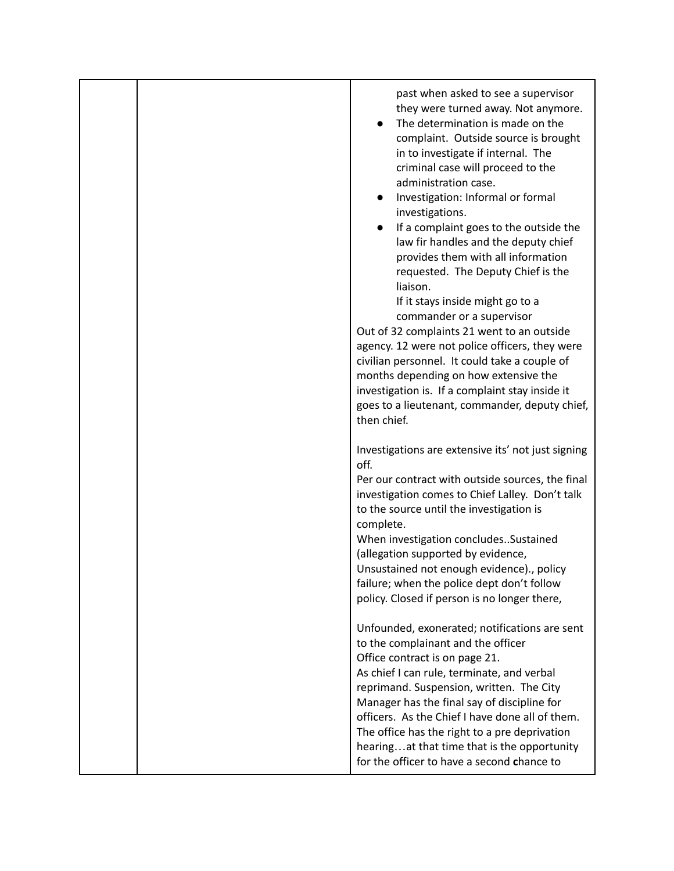|  | past when asked to see a supervisor<br>they were turned away. Not anymore.<br>The determination is made on the<br>complaint. Outside source is brought<br>in to investigate if internal. The<br>criminal case will proceed to the<br>administration case.<br>Investigation: Informal or formal<br>investigations.<br>If a complaint goes to the outside the<br>$\bullet$<br>law fir handles and the deputy chief<br>provides them with all information<br>requested. The Deputy Chief is the<br>liaison.<br>If it stays inside might go to a<br>commander or a supervisor<br>Out of 32 complaints 21 went to an outside<br>agency. 12 were not police officers, they were<br>civilian personnel. It could take a couple of<br>months depending on how extensive the<br>investigation is. If a complaint stay inside it<br>goes to a lieutenant, commander, deputy chief,<br>then chief. |
|--|-----------------------------------------------------------------------------------------------------------------------------------------------------------------------------------------------------------------------------------------------------------------------------------------------------------------------------------------------------------------------------------------------------------------------------------------------------------------------------------------------------------------------------------------------------------------------------------------------------------------------------------------------------------------------------------------------------------------------------------------------------------------------------------------------------------------------------------------------------------------------------------------|
|  | Investigations are extensive its' not just signing<br>off.<br>Per our contract with outside sources, the final<br>investigation comes to Chief Lalley. Don't talk<br>to the source until the investigation is<br>complete.<br>When investigation concludesSustained<br>(allegation supported by evidence,<br>Unsustained not enough evidence)., policy<br>failure; when the police dept don't follow<br>policy. Closed if person is no longer there,<br>Unfounded, exonerated; notifications are sent                                                                                                                                                                                                                                                                                                                                                                                   |
|  | to the complainant and the officer<br>Office contract is on page 21.<br>As chief I can rule, terminate, and verbal<br>reprimand. Suspension, written. The City<br>Manager has the final say of discipline for<br>officers. As the Chief I have done all of them.<br>The office has the right to a pre deprivation<br>hearingat that time that is the opportunity<br>for the officer to have a second chance to                                                                                                                                                                                                                                                                                                                                                                                                                                                                          |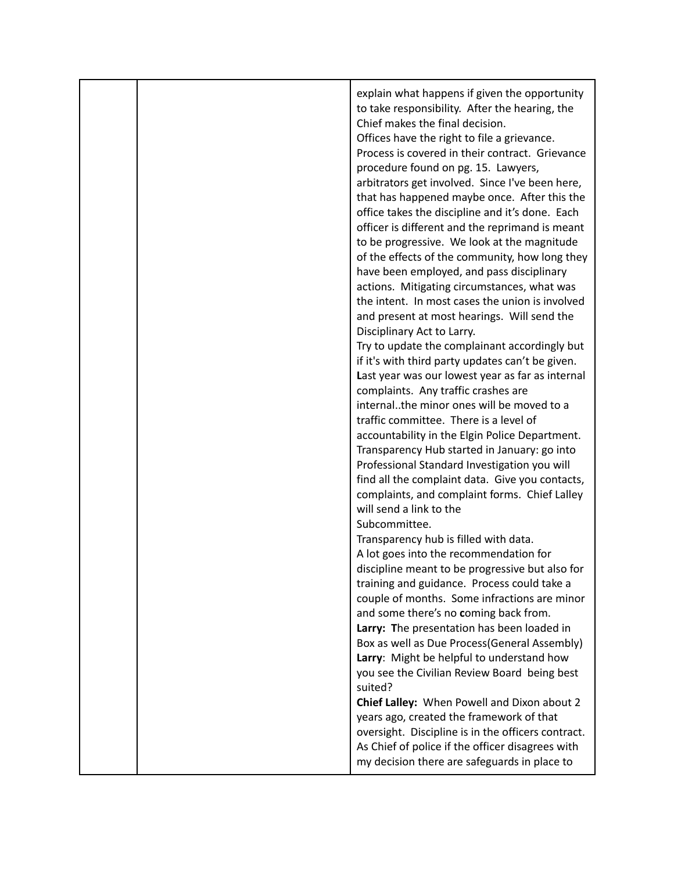|  | explain what happens if given the opportunity<br>to take responsibility. After the hearing, the<br>Chief makes the final decision.<br>Offices have the right to file a grievance.<br>Process is covered in their contract. Grievance<br>procedure found on pg. 15. Lawyers,<br>arbitrators get involved. Since I've been here,<br>that has happened maybe once. After this the<br>office takes the discipline and it's done. Each<br>officer is different and the reprimand is meant<br>to be progressive. We look at the magnitude<br>of the effects of the community, how long they<br>have been employed, and pass disciplinary<br>actions. Mitigating circumstances, what was<br>the intent. In most cases the union is involved<br>and present at most hearings. Will send the<br>Disciplinary Act to Larry.<br>Try to update the complainant accordingly but<br>if it's with third party updates can't be given.<br>Last year was our lowest year as far as internal<br>complaints. Any traffic crashes are<br>internalthe minor ones will be moved to a<br>traffic committee. There is a level of<br>accountability in the Elgin Police Department.<br>Transparency Hub started in January: go into<br>Professional Standard Investigation you will<br>find all the complaint data. Give you contacts,<br>complaints, and complaint forms. Chief Lalley<br>will send a link to the<br>Subcommittee.<br>Transparency hub is filled with data.<br>A lot goes into the recommendation for<br>discipline meant to be progressive but also for<br>training and guidance. Process could take a<br>couple of months. Some infractions are minor<br>and some there's no coming back from.<br>Larry: The presentation has been loaded in<br>Box as well as Due Process(General Assembly)<br>Larry: Might be helpful to understand how |
|--|-------------------------------------------------------------------------------------------------------------------------------------------------------------------------------------------------------------------------------------------------------------------------------------------------------------------------------------------------------------------------------------------------------------------------------------------------------------------------------------------------------------------------------------------------------------------------------------------------------------------------------------------------------------------------------------------------------------------------------------------------------------------------------------------------------------------------------------------------------------------------------------------------------------------------------------------------------------------------------------------------------------------------------------------------------------------------------------------------------------------------------------------------------------------------------------------------------------------------------------------------------------------------------------------------------------------------------------------------------------------------------------------------------------------------------------------------------------------------------------------------------------------------------------------------------------------------------------------------------------------------------------------------------------------------------------------------------------------------------------------------------------------------------------------------------------------------------------|
|  | you see the Civilian Review Board being best                                                                                                                                                                                                                                                                                                                                                                                                                                                                                                                                                                                                                                                                                                                                                                                                                                                                                                                                                                                                                                                                                                                                                                                                                                                                                                                                                                                                                                                                                                                                                                                                                                                                                                                                                                                        |
|  | suited?<br>Chief Lalley: When Powell and Dixon about 2<br>years ago, created the framework of that<br>oversight. Discipline is in the officers contract.<br>As Chief of police if the officer disagrees with<br>my decision there are safeguards in place to                                                                                                                                                                                                                                                                                                                                                                                                                                                                                                                                                                                                                                                                                                                                                                                                                                                                                                                                                                                                                                                                                                                                                                                                                                                                                                                                                                                                                                                                                                                                                                        |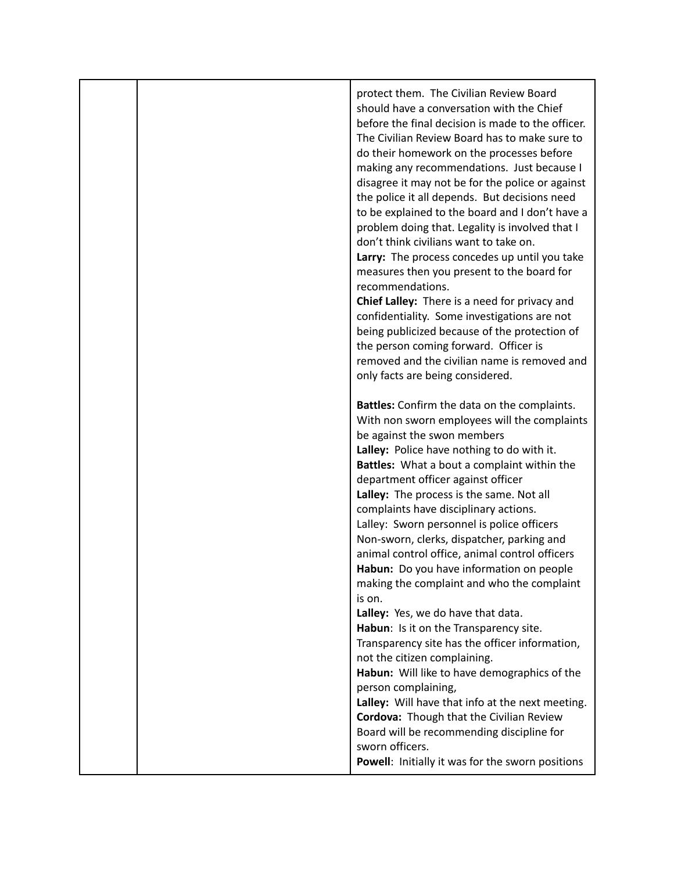| protect them. The Civilian Review Board<br>should have a conversation with the Chief<br>before the final decision is made to the officer.<br>The Civilian Review Board has to make sure to<br>do their homework on the processes before<br>making any recommendations. Just because I<br>disagree it may not be for the police or against<br>the police it all depends. But decisions need<br>to be explained to the board and I don't have a<br>problem doing that. Legality is involved that I<br>don't think civilians want to take on.<br>Larry: The process concedes up until you take<br>measures then you present to the board for<br>recommendations.<br>Chief Lalley: There is a need for privacy and<br>confidentiality. Some investigations are not<br>being publicized because of the protection of<br>the person coming forward. Officer is<br>removed and the civilian name is removed and<br>only facts are being considered.                                                                                                                       |
|--------------------------------------------------------------------------------------------------------------------------------------------------------------------------------------------------------------------------------------------------------------------------------------------------------------------------------------------------------------------------------------------------------------------------------------------------------------------------------------------------------------------------------------------------------------------------------------------------------------------------------------------------------------------------------------------------------------------------------------------------------------------------------------------------------------------------------------------------------------------------------------------------------------------------------------------------------------------------------------------------------------------------------------------------------------------|
| Battles: Confirm the data on the complaints.<br>With non sworn employees will the complaints<br>be against the swon members<br>Lalley: Police have nothing to do with it.<br>Battles: What a bout a complaint within the<br>department officer against officer<br>Lalley: The process is the same. Not all<br>complaints have disciplinary actions.<br>Lalley: Sworn personnel is police officers<br>Non-sworn, clerks, dispatcher, parking and<br>animal control office, animal control officers<br>Habun: Do you have information on people<br>making the complaint and who the complaint<br>is on.<br>Lalley: Yes, we do have that data.<br>Habun: Is it on the Transparency site.<br>Transparency site has the officer information,<br>not the citizen complaining.<br>Habun: Will like to have demographics of the<br>person complaining,<br>Lalley: Will have that info at the next meeting.<br>Cordova: Though that the Civilian Review<br>Board will be recommending discipline for<br>sworn officers.<br>Powell: Initially it was for the sworn positions |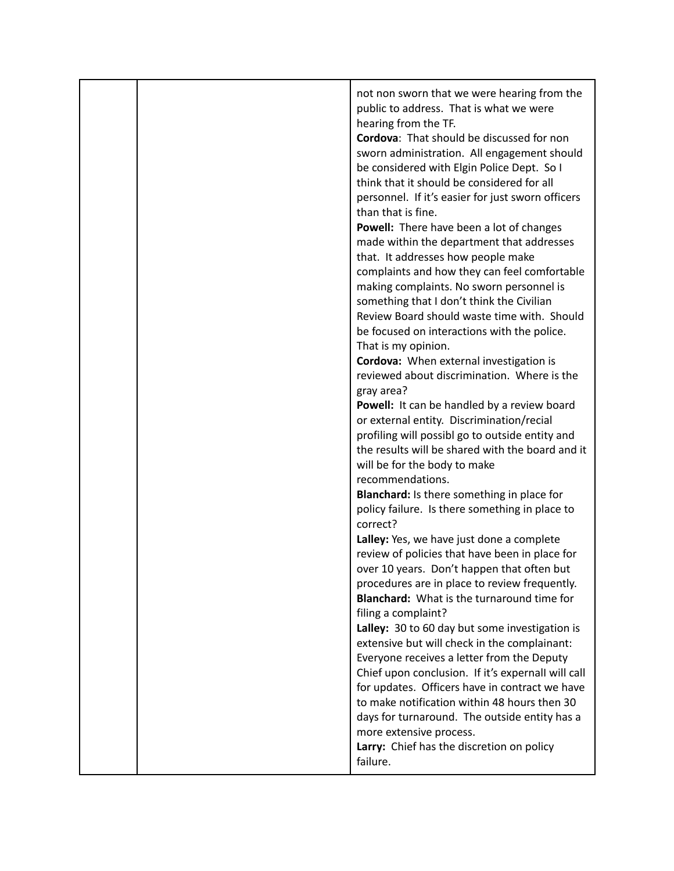|  | not non sworn that we were hearing from the<br>public to address. That is what we were<br>hearing from the TF.<br>Cordova: That should be discussed for non<br>sworn administration. All engagement should<br>be considered with Elgin Police Dept. So I<br>think that it should be considered for all<br>personnel. If it's easier for just sworn officers<br>than that is fine.<br>Powell: There have been a lot of changes<br>made within the department that addresses<br>that. It addresses how people make<br>complaints and how they can feel comfortable<br>making complaints. No sworn personnel is<br>something that I don't think the Civilian<br>Review Board should waste time with. Should<br>be focused on interactions with the police.<br>That is my opinion.<br>Cordova: When external investigation is<br>reviewed about discrimination. Where is the<br>gray area?<br>Powell: It can be handled by a review board<br>or external entity. Discrimination/recial<br>profiling will possibl go to outside entity and<br>the results will be shared with the board and it<br>will be for the body to make<br>recommendations.<br>Blanchard: Is there something in place for<br>policy failure. Is there something in place to<br>correct?<br>Lalley: Yes, we have just done a complete<br>review of policies that have been in place for<br>over 10 years. Don't happen that often but<br>procedures are in place to review frequently.<br>Blanchard: What is the turnaround time for<br>filing a complaint?<br>Lalley: 30 to 60 day but some investigation is<br>extensive but will check in the complainant:<br>Everyone receives a letter from the Deputy<br>Chief upon conclusion. If it's expernall will call<br>for updates. Officers have in contract we have |
|--|--------------------------------------------------------------------------------------------------------------------------------------------------------------------------------------------------------------------------------------------------------------------------------------------------------------------------------------------------------------------------------------------------------------------------------------------------------------------------------------------------------------------------------------------------------------------------------------------------------------------------------------------------------------------------------------------------------------------------------------------------------------------------------------------------------------------------------------------------------------------------------------------------------------------------------------------------------------------------------------------------------------------------------------------------------------------------------------------------------------------------------------------------------------------------------------------------------------------------------------------------------------------------------------------------------------------------------------------------------------------------------------------------------------------------------------------------------------------------------------------------------------------------------------------------------------------------------------------------------------------------------------------------------------------------------------------------------------------------------------------------------------------------------------|
|  | to make notification within 48 hours then 30<br>days for turnaround. The outside entity has a<br>more extensive process.<br>Larry: Chief has the discretion on policy<br>failure.                                                                                                                                                                                                                                                                                                                                                                                                                                                                                                                                                                                                                                                                                                                                                                                                                                                                                                                                                                                                                                                                                                                                                                                                                                                                                                                                                                                                                                                                                                                                                                                                    |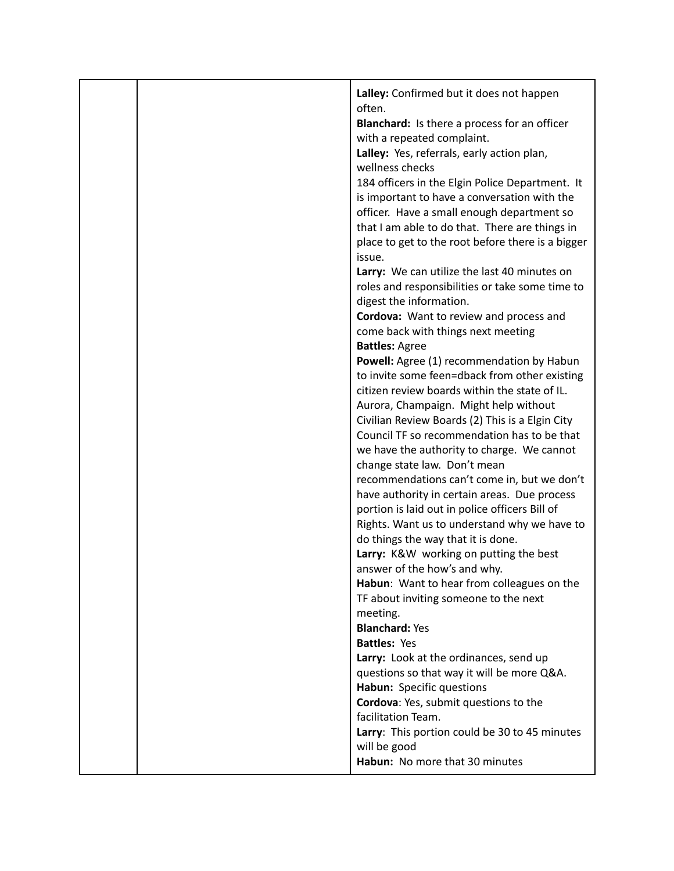|  | Lalley: Confirmed but it does not happen<br>often.<br><b>Blanchard:</b> Is there a process for an officer<br>with a repeated complaint.<br>Lalley: Yes, referrals, early action plan,<br>wellness checks<br>184 officers in the Elgin Police Department. It<br>is important to have a conversation with the<br>officer. Have a small enough department so<br>that I am able to do that. There are things in<br>place to get to the root before there is a bigger<br>issue.<br>Larry: We can utilize the last 40 minutes on<br>roles and responsibilities or take some time to<br>digest the information.<br>Cordova: Want to review and process and<br>come back with things next meeting<br><b>Battles: Agree</b><br>Powell: Agree (1) recommendation by Habun<br>to invite some feen=dback from other existing<br>citizen review boards within the state of IL.<br>Aurora, Champaign. Might help without<br>Civilian Review Boards (2) This is a Elgin City<br>Council TF so recommendation has to be that<br>we have the authority to charge. We cannot<br>change state law. Don't mean<br>recommendations can't come in, but we don't<br>have authority in certain areas. Due process<br>portion is laid out in police officers Bill of<br>Rights. Want us to understand why we have to<br>do things the way that it is done.<br>Larry: K&W working on putting the best<br>answer of the how's and why. |
|--|-------------------------------------------------------------------------------------------------------------------------------------------------------------------------------------------------------------------------------------------------------------------------------------------------------------------------------------------------------------------------------------------------------------------------------------------------------------------------------------------------------------------------------------------------------------------------------------------------------------------------------------------------------------------------------------------------------------------------------------------------------------------------------------------------------------------------------------------------------------------------------------------------------------------------------------------------------------------------------------------------------------------------------------------------------------------------------------------------------------------------------------------------------------------------------------------------------------------------------------------------------------------------------------------------------------------------------------------------------------------------------------------------------------|
|  |                                                                                                                                                                                                                                                                                                                                                                                                                                                                                                                                                                                                                                                                                                                                                                                                                                                                                                                                                                                                                                                                                                                                                                                                                                                                                                                                                                                                             |
|  |                                                                                                                                                                                                                                                                                                                                                                                                                                                                                                                                                                                                                                                                                                                                                                                                                                                                                                                                                                                                                                                                                                                                                                                                                                                                                                                                                                                                             |
|  | Habun: Want to hear from colleagues on the<br>TF about inviting someone to the next                                                                                                                                                                                                                                                                                                                                                                                                                                                                                                                                                                                                                                                                                                                                                                                                                                                                                                                                                                                                                                                                                                                                                                                                                                                                                                                         |
|  | meeting.<br><b>Blanchard: Yes</b>                                                                                                                                                                                                                                                                                                                                                                                                                                                                                                                                                                                                                                                                                                                                                                                                                                                                                                                                                                                                                                                                                                                                                                                                                                                                                                                                                                           |
|  | <b>Battles: Yes</b>                                                                                                                                                                                                                                                                                                                                                                                                                                                                                                                                                                                                                                                                                                                                                                                                                                                                                                                                                                                                                                                                                                                                                                                                                                                                                                                                                                                         |
|  | Larry: Look at the ordinances, send up                                                                                                                                                                                                                                                                                                                                                                                                                                                                                                                                                                                                                                                                                                                                                                                                                                                                                                                                                                                                                                                                                                                                                                                                                                                                                                                                                                      |
|  | questions so that way it will be more Q&A.<br>Habun: Specific questions                                                                                                                                                                                                                                                                                                                                                                                                                                                                                                                                                                                                                                                                                                                                                                                                                                                                                                                                                                                                                                                                                                                                                                                                                                                                                                                                     |
|  | Cordova: Yes, submit questions to the                                                                                                                                                                                                                                                                                                                                                                                                                                                                                                                                                                                                                                                                                                                                                                                                                                                                                                                                                                                                                                                                                                                                                                                                                                                                                                                                                                       |
|  | facilitation Team.                                                                                                                                                                                                                                                                                                                                                                                                                                                                                                                                                                                                                                                                                                                                                                                                                                                                                                                                                                                                                                                                                                                                                                                                                                                                                                                                                                                          |
|  | Larry: This portion could be 30 to 45 minutes<br>will be good                                                                                                                                                                                                                                                                                                                                                                                                                                                                                                                                                                                                                                                                                                                                                                                                                                                                                                                                                                                                                                                                                                                                                                                                                                                                                                                                               |
|  | Habun: No more that 30 minutes                                                                                                                                                                                                                                                                                                                                                                                                                                                                                                                                                                                                                                                                                                                                                                                                                                                                                                                                                                                                                                                                                                                                                                                                                                                                                                                                                                              |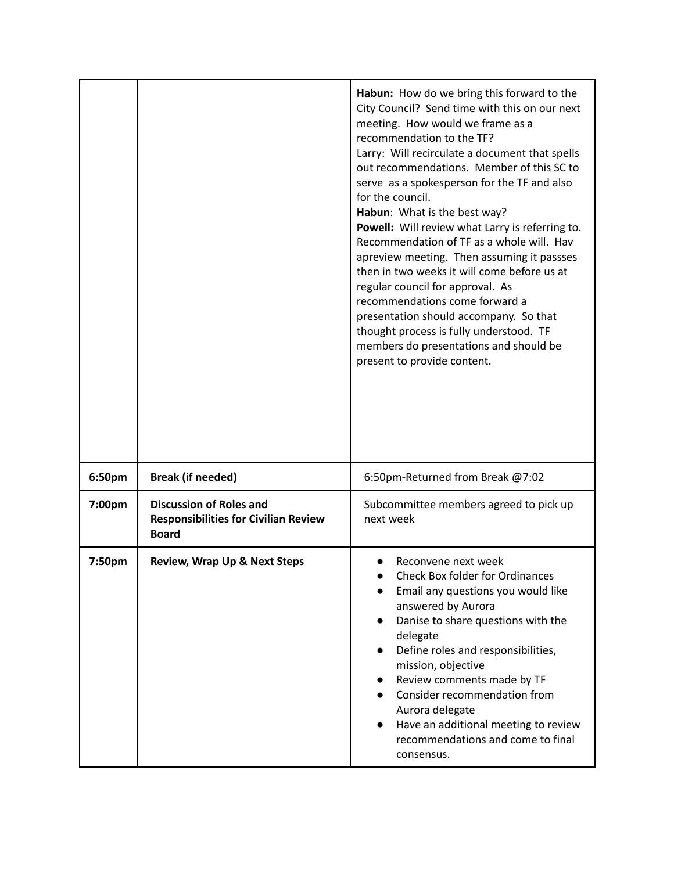|        |                                                                                               | Habun: How do we bring this forward to the<br>City Council? Send time with this on our next<br>meeting. How would we frame as a<br>recommendation to the TF?<br>Larry: Will recirculate a document that spells<br>out recommendations. Member of this SC to<br>serve as a spokesperson for the TF and also<br>for the council.<br>Habun: What is the best way?<br>Powell: Will review what Larry is referring to.<br>Recommendation of TF as a whole will. Hav<br>apreview meeting. Then assuming it passses<br>then in two weeks it will come before us at<br>regular council for approval. As<br>recommendations come forward a<br>presentation should accompany. So that<br>thought process is fully understood. TF<br>members do presentations and should be<br>present to provide content. |
|--------|-----------------------------------------------------------------------------------------------|-------------------------------------------------------------------------------------------------------------------------------------------------------------------------------------------------------------------------------------------------------------------------------------------------------------------------------------------------------------------------------------------------------------------------------------------------------------------------------------------------------------------------------------------------------------------------------------------------------------------------------------------------------------------------------------------------------------------------------------------------------------------------------------------------|
| 6:50pm | <b>Break (if needed)</b>                                                                      | 6:50pm-Returned from Break @7:02                                                                                                                                                                                                                                                                                                                                                                                                                                                                                                                                                                                                                                                                                                                                                                |
| 7:00pm | <b>Discussion of Roles and</b><br><b>Responsibilities for Civilian Review</b><br><b>Board</b> | Subcommittee members agreed to pick up<br>next week                                                                                                                                                                                                                                                                                                                                                                                                                                                                                                                                                                                                                                                                                                                                             |
| 7:50pm | <b>Review, Wrap Up &amp; Next Steps</b>                                                       | Reconvene next week<br><b>Check Box folder for Ordinances</b><br>$\bullet$<br>Email any questions you would like<br>answered by Aurora<br>Danise to share questions with the<br>$\bullet$<br>delegate<br>Define roles and responsibilities,<br>$\bullet$<br>mission, objective<br>Review comments made by TF<br>$\bullet$<br>Consider recommendation from<br>$\bullet$<br>Aurora delegate<br>Have an additional meeting to review<br>recommendations and come to final<br>consensus.                                                                                                                                                                                                                                                                                                            |